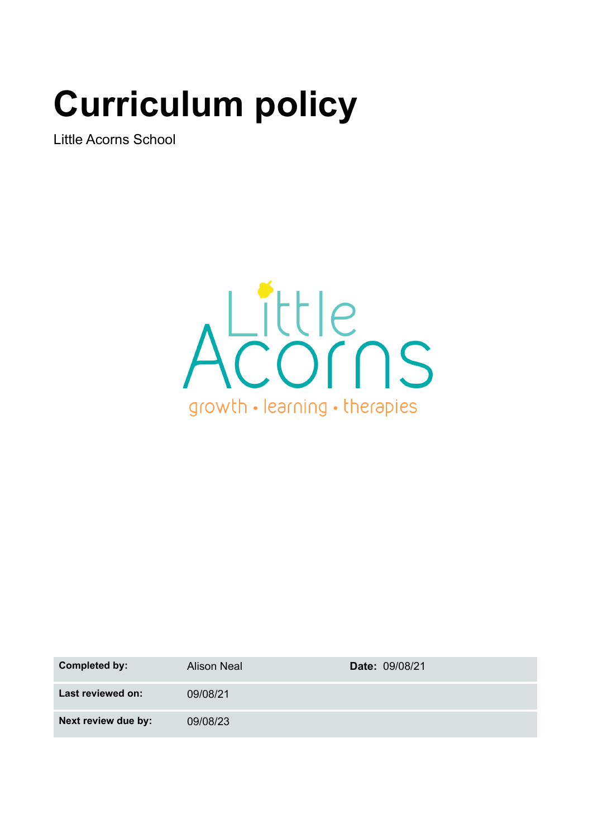# **Curriculum policy**

Little Acorns School



| Completed by:       | <b>Alison Neal</b> | Date: 09/08/21 |
|---------------------|--------------------|----------------|
| Last reviewed on:   | 09/08/21           |                |
| Next review due by: | 09/08/23           |                |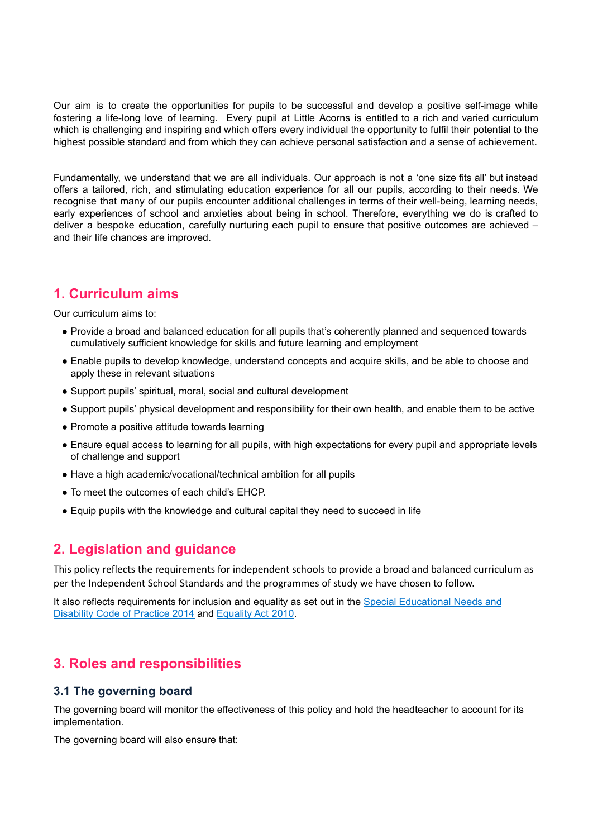Our aim is to create the opportunities for pupils to be successful and develop a positive self-image while fostering a life-long love of learning. Every pupil at Little Acorns is entitled to a rich and varied curriculum which is challenging and inspiring and which offers every individual the opportunity to fulfil their potential to the highest possible standard and from which they can achieve personal satisfaction and a sense of achievement.

Fundamentally, we understand that we are all individuals. Our approach is not a 'one size fits all' but instead offers a tailored, rich, and stimulating education experience for all our pupils, according to their needs. We recognise that many of our pupils encounter additional challenges in terms of their well-being, learning needs, early experiences of school and anxieties about being in school. Therefore, everything we do is crafted to deliver a bespoke education, carefully nurturing each pupil to ensure that positive outcomes are achieved – and their life chances are improved.

# **1. Curriculum aims**

Our curriculum aims to:

- Provide a broad and balanced education for all pupils that's coherently planned and sequenced towards cumulatively sufficient knowledge for skills and future learning and employment
- Enable pupils to develop knowledge, understand concepts and acquire skills, and be able to choose and apply these in relevant situations
- Support pupils' spiritual, moral, social and cultural development
- Support pupils' physical development and responsibility for their own health, and enable them to be active
- Promote a positive attitude towards learning
- Ensure equal access to learning for all pupils, with high expectations for every pupil and appropriate levels of challenge and support
- Have a high academic/vocational/technical ambition for all pupils
- To meet the outcomes of each child's EHCP.
- Equip pupils with the knowledge and cultural capital they need to succeed in life

# **2. Legislation and guidance**

This policy reflects the requirements for independent schools to provide a broad and balanced curriculum as per the Independent School Standards and the programmes of study we have chosen to follow.

It also reflects requirements for inclusion and equality as set out in the Special [Educational](https://www.gov.uk/government/publications/send-code-of-practice-0-to-25) Needs and [Disability](https://www.gov.uk/government/publications/send-code-of-practice-0-to-25) Code of Practice 2014 and [Equality](http://www.legislation.gov.uk/ukpga/2010/15/part/6/chapter/1) Act 2010.

# **3. Roles and responsibilities**

#### **3.1 The governing board**

The governing board will monitor the effectiveness of this policy and hold the headteacher to account for its implementation.

The governing board will also ensure that: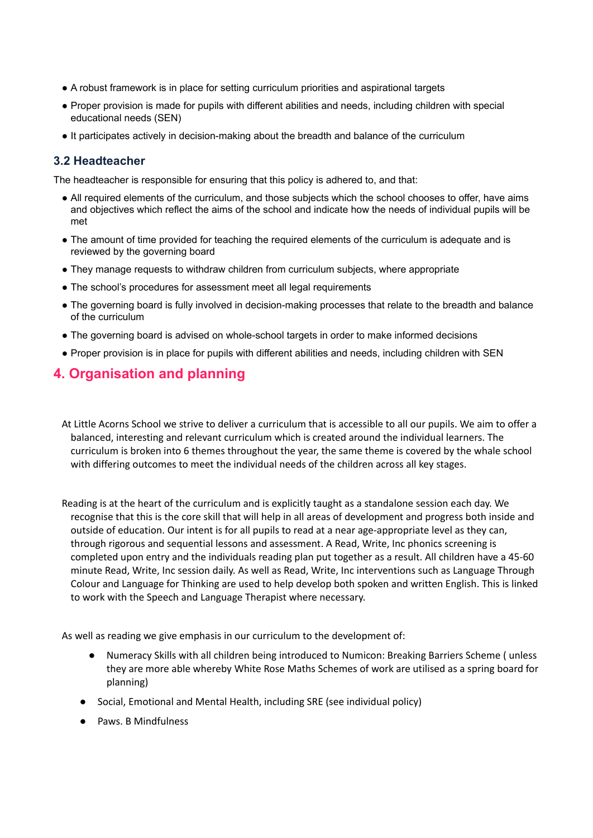- A robust framework is in place for setting curriculum priorities and aspirational targets
- Proper provision is made for pupils with different abilities and needs, including children with special educational needs (SEN)
- It participates actively in decision-making about the breadth and balance of the curriculum

#### **3.2 Headteacher**

The headteacher is responsible for ensuring that this policy is adhered to, and that:

- All required elements of the curriculum, and those subjects which the school chooses to offer, have aims and objectives which reflect the aims of the school and indicate how the needs of individual pupils will be met
- The amount of time provided for teaching the required elements of the curriculum is adequate and is reviewed by the governing board
- They manage requests to withdraw children from curriculum subjects, where appropriate
- The school's procedures for assessment meet all legal requirements
- The governing board is fully involved in decision-making processes that relate to the breadth and balance of the curriculum
- The governing board is advised on whole-school targets in order to make informed decisions
- Proper provision is in place for pupils with different abilities and needs, including children with SEN

# **4. Organisation and planning**

At Little Acorns School we strive to deliver a curriculum that is accessible to all our pupils. We aim to offer a balanced, interesting and relevant curriculum which is created around the individual learners. The curriculum is broken into 6 themes throughout the year, the same theme is covered by the whale school with differing outcomes to meet the individual needs of the children across all key stages.

Reading is at the heart of the curriculum and is explicitly taught as a standalone session each day. We recognise that this is the core skill that will help in all areas of development and progress both inside and outside of education. Our intent is for all pupils to read at a near age-appropriate level as they can, through rigorous and sequential lessons and assessment. A Read, Write, Inc phonics screening is completed upon entry and the individuals reading plan put together as a result. All children have a 45-60 minute Read, Write, Inc session daily. As well as Read, Write, Inc interventions such as Language Through Colour and Language for Thinking are used to help develop both spoken and written English. This is linked to work with the Speech and Language Therapist where necessary.

As well as reading we give emphasis in our curriculum to the development of:

- Numeracy Skills with all children being introduced to Numicon: Breaking Barriers Scheme ( unless they are more able whereby White Rose Maths Schemes of work are utilised as a spring board for planning)
- Social, Emotional and Mental Health, including SRE (see individual policy)
- Paws. B Mindfulness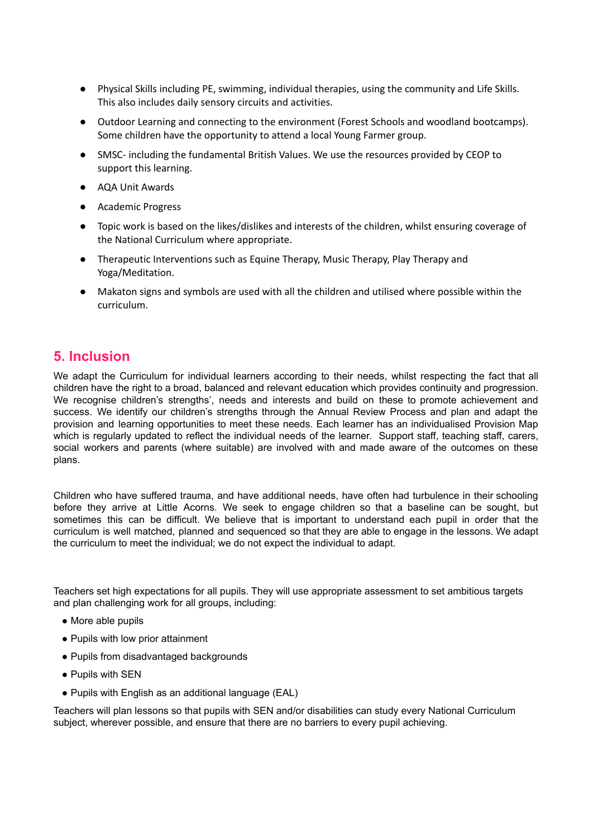- Physical Skills including PE, swimming, individual therapies, using the community and Life Skills. This also includes daily sensory circuits and activities.
- Outdoor Learning and connecting to the environment (Forest Schools and woodland bootcamps). Some children have the opportunity to attend a local Young Farmer group.
- SMSC- including the fundamental British Values. We use the resources provided by CEOP to support this learning.
- AQA Unit Awards
- Academic Progress
- Topic work is based on the likes/dislikes and interests of the children, whilst ensuring coverage of the National Curriculum where appropriate.
- Therapeutic Interventions such as Equine Therapy, Music Therapy, Play Therapy and Yoga/Meditation.
- Makaton signs and symbols are used with all the children and utilised where possible within the curriculum.

# **5. Inclusion**

We adapt the Curriculum for individual learners according to their needs, whilst respecting the fact that all children have the right to a broad, balanced and relevant education which provides continuity and progression. We recognise children's strengths', needs and interests and build on these to promote achievement and success. We identify our children's strengths through the Annual Review Process and plan and adapt the provision and learning opportunities to meet these needs. Each learner has an individualised Provision Map which is regularly updated to reflect the individual needs of the learner. Support staff, teaching staff, carers, social workers and parents (where suitable) are involved with and made aware of the outcomes on these plans.

Children who have suffered trauma, and have additional needs, have often had turbulence in their schooling before they arrive at Little Acorns. We seek to engage children so that a baseline can be sought, but sometimes this can be difficult. We believe that is important to understand each pupil in order that the curriculum is well matched, planned and sequenced so that they are able to engage in the lessons. We adapt the curriculum to meet the individual; we do not expect the individual to adapt.

Teachers set high expectations for all pupils. They will use appropriate assessment to set ambitious targets and plan challenging work for all groups, including:

- More able pupils
- Pupils with low prior attainment
- Pupils from disadvantaged backgrounds
- Pupils with SEN
- Pupils with English as an additional language (EAL)

Teachers will plan lessons so that pupils with SEN and/or disabilities can study every National Curriculum subject, wherever possible, and ensure that there are no barriers to every pupil achieving.